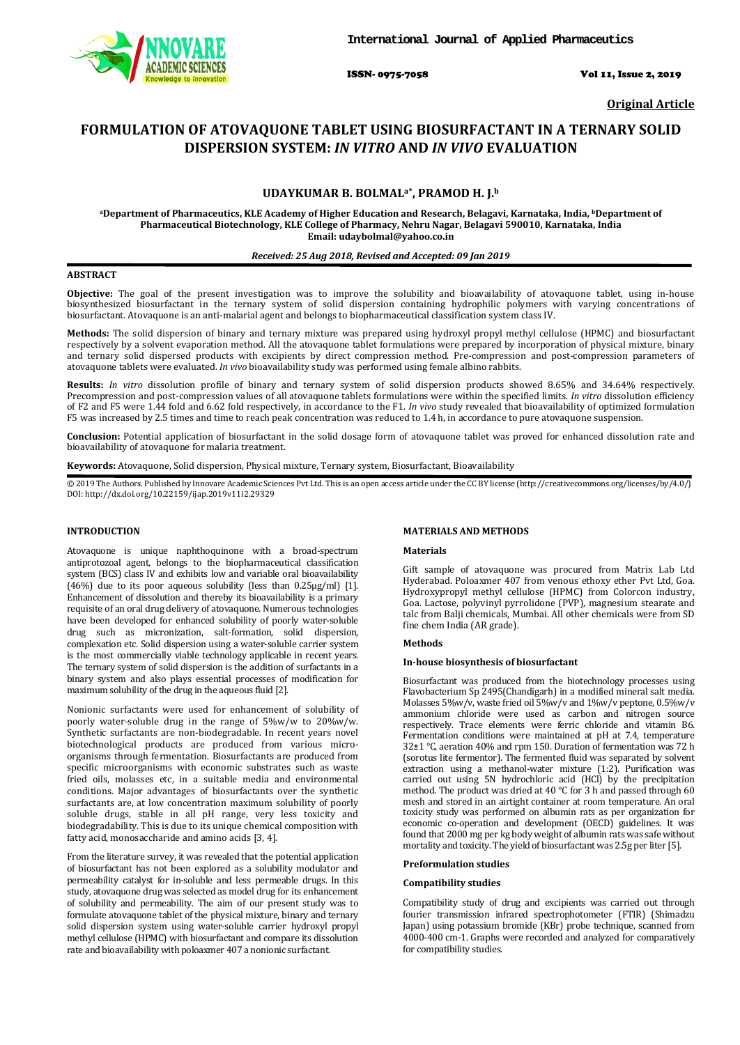

ISSN- 0975-7058 Vol 11, Issue 2, 2019

**Original Article**

# **FORMULATION OF ATOVAQUONE TABLET USING BIOSURFACTANT IN A TERNARY SOLID DISPERSION SYSTEM:** *IN VITRO* **AND** *IN VIVO* **EVALUATION**

# **UDAYKUMAR B. BOLMALa\*, PRAMOD H. J. b**

**aDepartment of Pharmaceutics, KLE Academy of Higher Education and Research, Belagavi, Karnataka, India, <sup>b</sup> Department of Pharmaceutical Biotechnology, KLE College of Pharmacy, Nehru Nagar, Belagavi 590010, Karnataka, India Email: udaybolmal@yahoo.co.in**

# *Received: 25 Aug 2018, Revised and Accepted: 09 Jan 2019*

# **ABSTRACT**

**Objective:** The goal of the present investigation was to improve the solubility and bioavailability of atovaquone tablet, using in-house biosynthesized biosurfactant in the ternary system of solid dispersion containing hydrophilic polymers with varying concentrations of biosurfactant. Atovaquone is an anti-malarial agent and belongs to biopharmaceutical classification system class IV.

**Methods:** The solid dispersion of binary and ternary mixture was prepared using hydroxyl propyl methyl cellulose (HPMC) and biosurfactant respectively by a solvent evaporation method. All the atovaquone tablet formulations were prepared by incorporation of physical mixture, binary and ternary solid dispersed products with excipients by direct compression method. Pre-compression and post-compression parameters of atovaquone tablets were evaluated. *In vivo* bioavailability study was performed using female albino rabbits.

**Results:** *In vitro* dissolution profile of binary and ternary system of solid dispersion products showed 8.65% and 34.64% respectively. Precompression and post-compression values of all atovaquone tablets formulations were within the specified limits. *In vitro* dissolution efficiency of F2 and F5 were 1.44 fold and 6.62 fold respectively, in accordance to the F1. *In vivo* study revealed that bioavailability of optimized formulation F5 was increased by 2.5 times and time to reach peak concentration was reduced to 1.4 h, in accordance to pure atovaquone suspension.

**Conclusion:** Potential application of biosurfactant in the solid dosage form of atovaquone tablet was proved for enhanced dissolution rate and bioavailability of atovaquone for malaria treatment.

**Keywords:** Atovaquone, Solid dispersion, Physical mixture, Ternary system, Biosurfactant, Bioavailability

© 2019 The Authors. Published by Innovare Academic Sciences Pvt Ltd. This is an open access article under the CC BY license [\(http://creativecommons.org/licenses/by/4.0/\)](http://creativecommons.org/licenses/by/4.0/) DOI: http://dx.doi.org/10.22159/ijap.2019v11i2.29329

#### **INTRODUCTION**

Atovaquone is unique naphthoquinone with a broad-spectrum antiprotozoal agent, belongs to the biopharmaceutical classification system (BCS) class IV and exhibits low and variable oral bioavailability (46%) due to its poor aqueous solubility (less than 0.25µg/ml) [1]. Enhancement of dissolution and thereby its bioavailability is a primary requisite of an oral drug delivery of atovaquone. Numerous technologies have been developed for enhanced solubility of poorly water-soluble drug such as micronization, salt-formation, solid dispersion, complexation etc. Solid dispersion using a water-soluble carrier system is the most commercially viable technology applicable in recent years. The ternary system of solid dispersion is the addition of surfactants in a binary system and also plays essential processes of modification for maximum solubility of the drug in the aqueous fluid [2].

Nonionic surfactants were used for enhancement of solubility of poorly water-soluble drug in the range of 5%w/w to 20%w/w. Synthetic surfactants are non-biodegradable. In recent years novel biotechnological products are produced from various microorganisms through fermentation. Biosurfactants are produced from specific microorganisms with economic substrates such as waste fried oils, molasses etc, in a suitable media and environmental conditions. Major advantages of biosurfactants over the synthetic surfactants are, at low concentration maximum solubility of poorly soluble drugs, stable in all pH range, very less toxicity and biodegradability. This is due to its unique chemical composition with fatty acid, monosaccharide and amino acids [3, 4].

From the literature survey, it was revealed that the potential application of biosurfactant has not been explored as a solubility modulator and permeability catalyst for in-soluble and less permeable drugs. In this study, atovaquone drug was selected as model drug for its enhancement of solubility and permeability. The aim of our present study was to formulate atovaquone tablet of the physical mixture, binary and ternary solid dispersion system using water-soluble carrier hydroxyl propyl methyl cellulose (HPMC) with biosurfactant and compare its dissolution rate and bioavailability with poloaxmer 407 a nonionic surfactant.

# **MATERIALS AND METHODS**

#### **Materials**

Gift sample of atovaquone was procured from Matrix Lab Ltd Hyderabad. Poloaxmer 407 from venous ethoxy ether Pvt Ltd, Goa. Hydroxypropyl methyl cellulose (HPMC) from Colorcon industry, Goa. Lactose, polyvinyl pyrrolidone (PVP), magnesium stearate and talc from Balji chemicals, Mumbai. All other chemicals were from SD fine chem India (AR grade).

### **Methods**

# **In-house biosynthesis of biosurfactant**

Biosurfactant was produced from the biotechnology processes using Flavobacterium Sp 2495(Chandigarh) in a modified mineral salt media. Molasses 5%w/v, waste fried oil 5%w/v and 1%w/v peptone, 0.5%w/v ammonium chloride were used as carbon and nitrogen source respectively. Trace elements were ferric chloride and vitamin B6. Fermentation conditions were maintained at pH at 7.4, temperature 32±1 °C, aeration 40% and rpm 150. Duration of fermentation was 72 h (sorotus lite fermentor). The fermented fluid was separated by solvent extraction using a methanol-water mixture (1:2). Purification was carried out using 5N hydrochloric acid (HCl) by the precipitation method. The product was dried at 40 °C for 3 h and passed through 60 mesh and stored in an airtight container at room temperature. An oral toxicity study was performed on albumin rats as per organization for economic co-operation and development (OECD) guidelines. It was found that 2000 mg per kg body weight of albumin rats was safe without mortality and toxicity. The yield of biosurfactant was 2.5g per liter [5].

#### **Preformulation studies**

#### **Compatibility studies**

Compatibility study of drug and excipients was carried out through fourier transmission infrared spectrophotometer (FTIR) (Shimadzu Japan) using potassium bromide (KBr) probe technique, scanned from 4000-400 cm-1. Graphs were recorded and analyzed for comparatively for compatibility studies.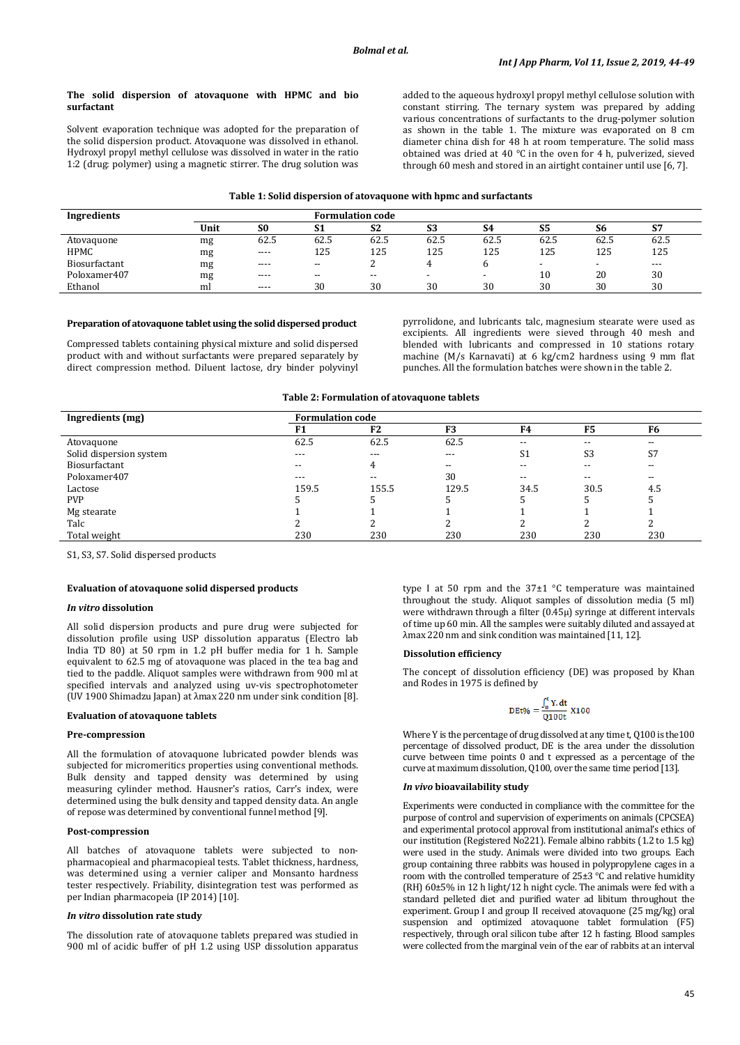#### **The solid dispersion of atovaquone with HPMC and bio surfactant**

Solvent evaporation technique was adopted for the preparation of the solid dispersion product. Atovaquone was dissolved in ethanol. Hydroxyl propyl methyl cellulose was dissolved in water in the ratio 1:2 (drug: polymer) using a magnetic stirrer. The drug solution was

added to the aqueous hydroxyl propyl methyl cellulose solution with constant stirring. The ternary system was prepared by adding various concentrations of surfactants to the drug-polymer solution as shown in the table 1. The mixture was evaporated on 8 cm diameter china dish for 48 h at room temperature. The solid mass obtained was dried at 40 °C in the oven for 4 h, pulverized, sieved through 60 mesh and stored in an airtight container until use [6, 7].

# **Table 1: Solid dispersion of atovaquone with hpmc and surfactants**

| Ingredients   | <b>Formulation code</b> |                |       |                |                |      |      |      |      |
|---------------|-------------------------|----------------|-------|----------------|----------------|------|------|------|------|
|               | Unit                    | S <sub>0</sub> | S1    | S <sub>2</sub> | S <sub>3</sub> | S4   | S5   | Σб   | S7   |
| Atovaquone    | mg                      | 62.5           | 62.5  | 62.5           | 62.5           | 62.5 | 62.5 | 62.5 | 62.5 |
| <b>HPMC</b>   | mg                      | $---$          | 125   | 125            | 125            | 125  | 125  | 125  | 125  |
| Biosurfactant | mg                      | $---$          | $- -$ | ∼              |                |      |      | -    | $--$ |
| Poloxamer407  | mg                      | $---$          | $- -$ | $- -$          |                | -    | 10   | 20   | 30   |
| Ethanol       | ml                      | $---$          | 30    | 30             | 30             | 30   | 30   | 30   | 30   |

#### **Preparation of atovaquone tablet using the solid dispersed product**

Compressed tablets containing physical mixture and solid dispersed product with and without surfactants were prepared separately by direct compression method. Diluent lactose, dry binder polyvinyl

pyrrolidone, and lubricants talc, magnesium stearate were used as excipients. All ingredients were sieved through 40 mesh and blended with lubricants and compressed in 10 stations rotary machine (M/s Karnavati) at 6 kg/cm2 hardness using 9 mm flat punches. All the formulation batches were shown in the table 2.

| Table 2: Formulation of atovaquone tablets |  |  |  |
|--------------------------------------------|--|--|--|
|--------------------------------------------|--|--|--|

| Ingredients (mg)        | <b>Formulation code</b> |                |                |                |                |       |  |  |
|-------------------------|-------------------------|----------------|----------------|----------------|----------------|-------|--|--|
|                         | F1                      | F <sub>2</sub> | F <sub>3</sub> | F4             | F <sub>5</sub> | F6    |  |  |
| Atovaquone              | 62.5                    | 62.5           | 62.5           | $- -$          | $- -$          | $- -$ |  |  |
| Solid dispersion system | $---$                   | $---$          | $---$          | S <sub>1</sub> | S <sub>3</sub> | S7    |  |  |
| Biosurfactant           | $- -$                   | 4              | $- -$          | $- -$          | $- -$          | $- -$ |  |  |
| Poloxamer407            | ---                     | $- -$          | 30             | $- -$          | $- -$          | $- -$ |  |  |
| Lactose                 | 159.5                   | 155.5          | 129.5          | 34.5           | 30.5           | 4.5   |  |  |
| <b>PVP</b>              |                         |                |                |                |                |       |  |  |
| Mg stearate             |                         |                |                |                |                |       |  |  |
| Talc                    |                         |                |                |                |                |       |  |  |
| Total weight            | 230                     | 230            | 230            | 230            | 230            | 230   |  |  |

S1, S3, S7. Solid dispersed products

#### **Evaluation of atovaquone solid dispersed products**

#### *In vitro* **dissolution**

All solid dispersion products and pure drug were subjected for dissolution profile using USP dissolution apparatus (Electro lab India TD 80) at 50 rpm in 1.2 pH buffer media for 1 h. Sample equivalent to 62.5 mg of atovaquone was placed in the tea bag and tied to the paddle. Aliquot samples were withdrawn from 900 ml at specified intervals and analyzed using uv-vis spectrophotometer (UV 1900 Shimadzu Japan) at λmax 220 nm under sink condition [8].

# **Evaluation of atovaquone tablets**

#### **Pre-compression**

All the formulation of atovaquone lubricated powder blends was subjected for micromeritics properties using conventional methods. Bulk density and tapped density was determined by using measuring cylinder method. Hausner's ratios, Carr's index, were determined using the bulk density and tapped density data. An angle of repose was determined by conventional funnel method [9].

#### **Post-compression**

All batches of atovaquone tablets were subjected to nonpharmacopieal and pharmacopieal tests. Tablet thickness, hardness, was determined using a vernier caliper and Monsanto hardness tester respectively. Friability, disintegration test was performed as per Indian pharmacopeia (IP 2014) [10].

# *In vitro* **dissolution rate study**

The dissolution rate of atovaquone tablets prepared was studied in 900 ml of acidic buffer of pH 1.2 using USP dissolution apparatus

type I at 50 rpm and the  $37\pm1$  °C temperature was maintained throughout the study. Aliquot samples of dissolution media (5 ml) were withdrawn through a filter (0.45µ) syringe at different intervals of time up 60 min. All the samples were suitably diluted and assayed at λmax 220 nm and sink condition was maintained [11, 12].

### **Dissolution efficiency**

The concept of dissolution efficiency (DE) was proposed by Khan and Rodes in 1975 is defined by

$$
DEt\% = \frac{\int_0^t Y \, dt}{0100t} \, X100
$$

Where Y is the percentage of drug dissolved at any time t, Q100 is the100 percentage of dissolved product, DE is the area under the dissolution curve between time points 0 and t expressed as a percentage of the curve at maximum dissolution, Q100, over the same time period [13].

#### *In vivo* **bioavailability study**

Experiments were conducted in compliance with the committee for the purpose of control and supervision of experiments on animals (CPCSEA) and experimental protocol approval from institutional animal's ethics of our institution (Registered No221). Female albino rabbits (1.2 to 1.5 kg) were used in the study. Animals were divided into two groups. Each group containing three rabbits was housed in polypropylene cages in a room with the controlled temperature of  $25±3$  °C and relative humidity (RH) 60±5% in 12 h light/12 h night cycle. The animals were fed with a standard pelleted diet and purified water ad libitum throughout the experiment. Group I and group II received atovaquone (25 mg/kg) oral suspension and optimized atovaquone tablet formulation (F5) respectively, through oral silicon tube after 12 h fasting. Blood samples were collected from the marginal vein of the ear of rabbits at an interval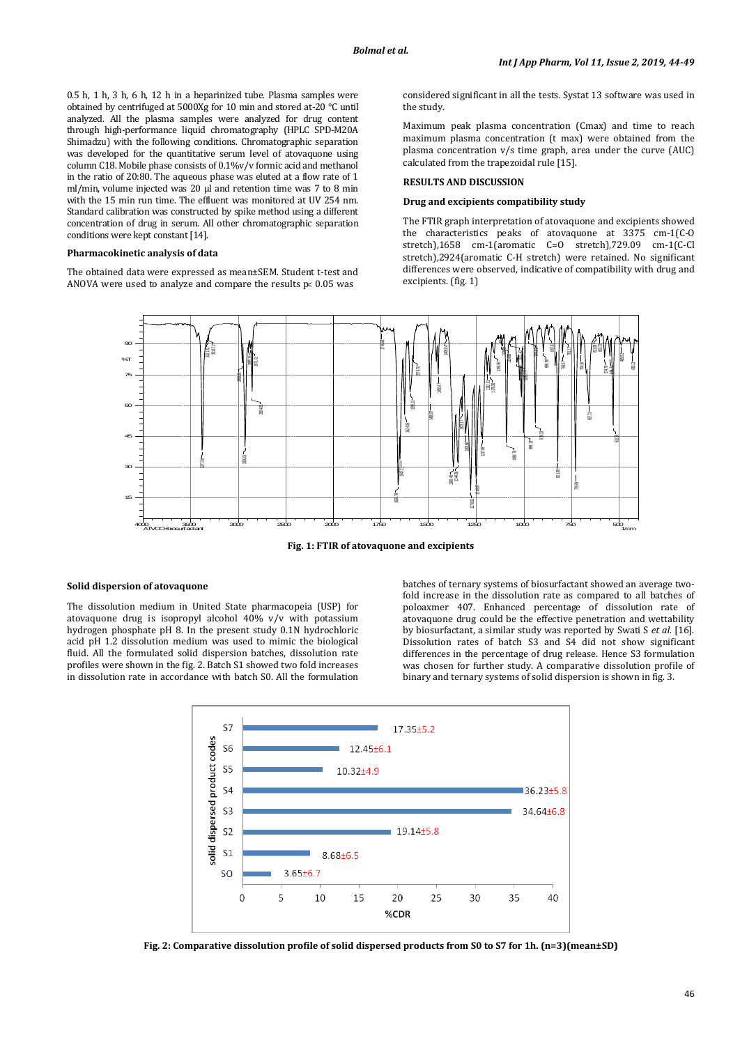0.5 h, 1 h, 3 h, 6 h, 12 h in a heparinized tube. Plasma samples were obtained by centrifuged at 5000Xg for 10 min and stored at-20 °C until analyzed. All the plasma samples were analyzed for drug content through high-performance liquid chromatography (HPLC SPD-M20A Shimadzu) with the following conditions. Chromatographic separation was developed for the quantitative serum level of atovaquone using column C18. Mobile phase consists of 0.1%v/v formic acid and methanol in the ratio of 20:80. The aqueous phase was eluted at a flow rate of 1 ml/min, volume injected was 20 µl and retention time was 7 to 8 min with the 15 min run time. The effluent was monitored at UV 254 nm. Standard calibration was constructed by spike method using a different concentration of drug in serum. All other chromatographic separation conditions were kept constant [14].

# **Pharmacokinetic analysis of data**

The obtained data were expressed as mean±SEM. Student t-test and ANOVA were used to analyze and compare the results  $p \times 0.05$  was

considered significant in all the tests. Systat 13 software was used in the study.

Maximum peak plasma concentration (Cmax) and time to reach maximum plasma concentration (t max) were obtained from the plasma concentration v/s time graph, area under the curve (AUC) calculated from the trapezoidal rule [15].

# **RESULTS AND DISCUSSION**

#### **Drug and excipients compatibility study**

The FTIR graph interpretation of atovaquone and excipients showed the characteristics peaks of atovaquone at 3375 cm-1(C-O stretch),1658 cm-1(aromatic C=O stretch),729.09 cm-1(C-Cl stretch),2924(aromatic C-H stretch) were retained. No significant differences were observed, indicative of compatibility with drug and excipients. (fig. 1)



**Fig. 1: FTIR of atovaquone and excipients**

#### **Solid dispersion of atovaquone**

The dissolution medium in United State pharmacopeia (USP) for atovaquone drug is isopropyl alcohol 40% v/v with potassium hydrogen phosphate pH 8. In the present study 0.1N hydrochloric acid pH 1.2 dissolution medium was used to mimic the biological fluid. All the formulated solid dispersion batches, dissolution rate profiles were shown in the fig. 2. Batch S1 showed two fold increases in dissolution rate in accordance with batch S0. All the formulation batches of ternary systems of biosurfactant showed an average twofold increase in the dissolution rate as compared to all batches of poloaxmer 407. Enhanced percentage of dissolution rate of atovaquone drug could be the effective penetration and wettability by biosurfactant, a similar study was reported by Swati S *et al.* [16]. Dissolution rates of batch S3 and S4 did not show significant differences in the percentage of drug release. Hence S3 formulation was chosen for further study. A comparative dissolution profile of binary and ternary systems of solid dispersion is shown in fig. 3.



**Fig. 2: Comparative dissolution profile of solid dispersed products from S0 to S7 for 1h. (n=3)(mean±SD)**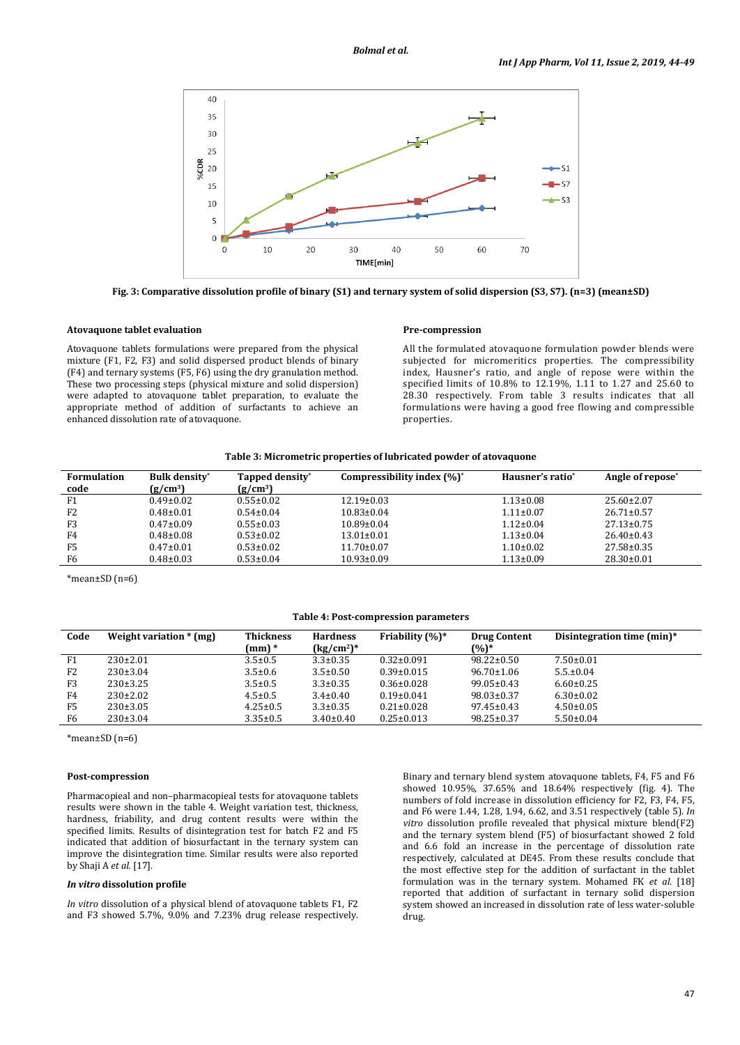

**Fig. 3: Comparative dissolution profile of binary (S1) and ternary system of solid dispersion (S3, S7). (n=3) (mean±SD)**

#### **Atovaquone tablet evaluation**

Atovaquone tablets formulations were prepared from the physical mixture (F1, F2, F3) and solid dispersed product blends of binary (F4) and ternary systems (F5, F6) using the dry granulation method. These two processing steps (physical mixture and solid dispersion) were adapted to atovaquone tablet preparation, to evaluate the appropriate method of addition of surfactants to achieve an enhanced dissolution rate of atovaquone.

#### **Pre-compression**

All the formulated atovaquone formulation powder blends were subjected for micromeritics properties. The compressibility index, Hausner's ratio, and angle of repose were within the specified limits of 10.8% to 12.19%, 1.11 to 1.27 and 25.60 to 28.30 respectively. From table 3 results indicates that all formulations were having a good free flowing and compressible properties.

| Table 3: Micrometric properties of lubricated powder of atovaquone |  |  |  |
|--------------------------------------------------------------------|--|--|--|
|--------------------------------------------------------------------|--|--|--|

| Formulation<br>code | Bulk density*<br>$(g/cm^3)$ | Tapped density*<br>$(g/cm^3)$ | Compressibility index $(\%)^*$ | Hausner's ratio <sup>*</sup> | Angle of repose <sup>*</sup> |
|---------------------|-----------------------------|-------------------------------|--------------------------------|------------------------------|------------------------------|
| F1                  | $0.49 \pm 0.02$             | $0.55 \pm 0.02$               | $12.19 \pm 0.03$               | $1.13 \pm 0.08$              | $25.60 \pm 2.07$             |
| F <sub>2</sub>      | $0.48 \pm 0.01$             | $0.54 \pm 0.04$               | $10.83 \pm 0.04$               | $1.11 \pm 0.07$              | $26.71 \pm 0.57$             |
| F <sub>3</sub>      | $0.47 \pm 0.09$             | $0.55 \pm 0.03$               | $10.89 \pm 0.04$               | $1.12 \pm 0.04$              | $27.13 \pm 0.75$             |
| F4                  | $0.48 \pm 0.08$             | $0.53 \pm 0.02$               | $13.01 \pm 0.01$               | $1.13 \pm 0.04$              | $26.40\pm0.43$               |
| F <sub>5</sub>      | $0.47 \pm 0.01$             | $0.53 \pm 0.02$               | $11.70 \pm 0.07$               | $1.10 \pm 0.02$              | 27.58±0.35                   |
| F6                  | $0.48 \pm 0.03$             | $0.53 \pm 0.04$               | $10.93 \pm 0.09$               | $1.13 \pm 0.09$              | $28.30 \pm 0.01$             |

\*mean±SD (n=6)

## **Table 4: Post-compression parameters**

| Code           | Weight variation $*(mg)$ | <b>Thickness</b><br>$(mm)*$ | <b>Hardness</b><br>$(kg/cm2)*$ | Friability $(\%)^*$ | <b>Drug Content</b><br>$(%)^*$ | Disintegration time (min)* |
|----------------|--------------------------|-----------------------------|--------------------------------|---------------------|--------------------------------|----------------------------|
| F1             | $230\pm2.01$             | $3.5 \pm 0.5$               | $3.3 \pm 0.35$                 | $0.32 \pm 0.091$    | $98.22 \pm 0.50$               | $7.50 \pm 0.01$            |
| F <sub>2</sub> | $230\pm3.04$             | $3.5 \pm 0.6$               | $3.5 \pm 0.50$                 | $0.39 \pm 0.015$    | $96.70 \pm 1.06$               | $5.5 \pm 0.04$             |
| F3             | $230\pm3.25$             | $3.5 \pm 0.5$               | $3.3 \pm 0.35$                 | $0.36 \pm 0.028$    | $99.05 \pm 0.43$               | $6.60 \pm 0.25$            |
| F4             | $230 \pm 2.02$           | $4.5 \pm 0.5$               | $3.4 \pm 0.40$                 | $0.19 \pm 0.041$    | $98.03 \pm 0.37$               | $6.30 \pm 0.02$            |
| F <sub>5</sub> | $230 \pm 3.05$           | $4.25 \pm 0.5$              | $3.3 \pm 0.35$                 | $0.21 \pm 0.028$    | $97.45 \pm 0.43$               | $4.50 \pm 0.05$            |
| F6             | $230\pm3.04$             | $3.35 \pm 0.5$              | $3.40 \pm 0.40$                | $0.25 \pm 0.013$    | $98.25 \pm 0.37$               | $5.50 \pm 0.04$            |

\*mean±SD (n=6)

#### **Post-compression**

Pharmacopieal and non–pharmacopieal tests for atovaquone tablets results were shown in the table 4. Weight variation test, thickness, hardness, friability, and drug content results were within the specified limits. Results of disintegration test for batch F2 and F5 indicated that addition of biosurfactant in the ternary system can improve the disintegration time. Similar results were also reported by Shaji A *et al.* [17].

#### *In vitro* **dissolution profile**

*In vitro* dissolution of a physical blend of atovaquone tablets F1, F2 and F3 showed 5.7%, 9.0% and 7.23% drug release respectively.

Binary and ternary blend system atovaquone tablets, F4, F5 and F6 showed 10.95%, 37.65% and 18.64% respectively (fig. 4). The numbers of fold increase in dissolution efficiency for F2, F3, F4, F5, and F6 were 1.44, 1.28, 1.94, 6.62, and 3.51 respectively (table 5). *In vitro* dissolution profile revealed that physical mixture blend(F2) and the ternary system blend (F5) of biosurfactant showed 2 fold and 6.6 fold an increase in the percentage of dissolution rate respectively, calculated at DE45. From these results conclude that the most effective step for the addition of surfactant in the tablet formulation was in the ternary system. Mohamed FK *et al.* [18] reported that addition of surfactant in ternary solid dispersion system showed an increased in dissolution rate of less water-soluble drug.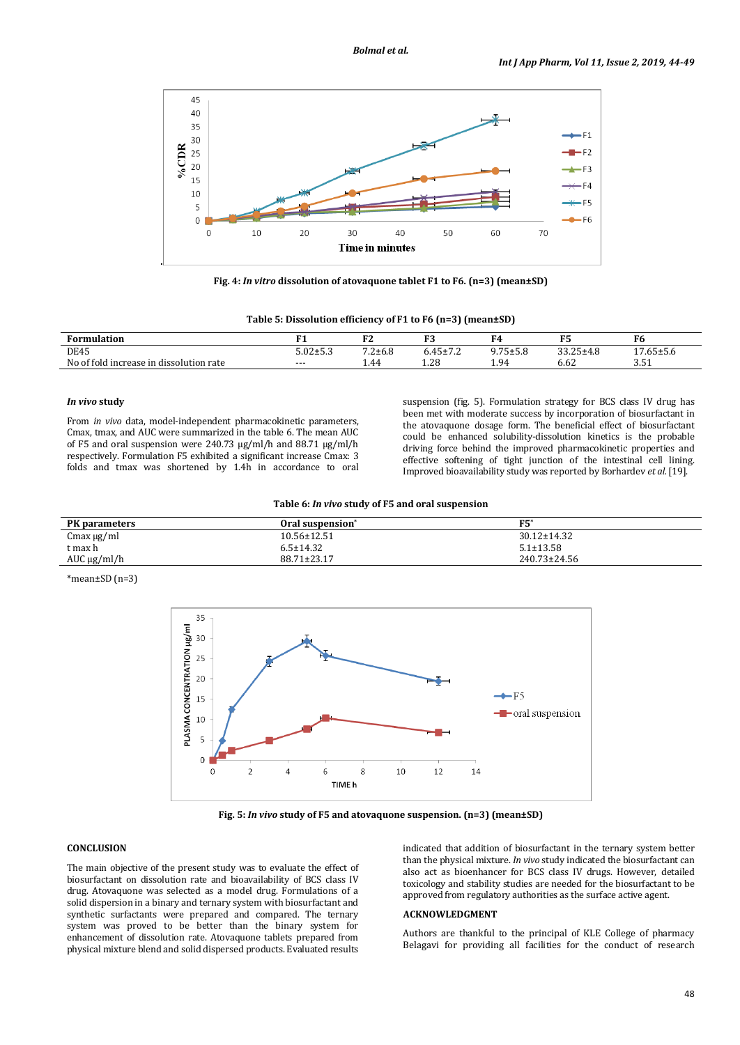

**Fig. 4:** *In vitro* **dissolution of atovaquone tablet F1 to F6. (n=3) (mean±SD)**

| Table 5: Dissolution efficiency of F1 to F6 (n=3) (mean±SD) |
|-------------------------------------------------------------|
|-------------------------------------------------------------|

| Formulation                                      |                                         | <b>DO</b><br>. . | $\mathbf{r}$<br>. . | $\Gamma$                         | <b>DE</b><br>. .                                     | ŀь                                   |
|--------------------------------------------------|-----------------------------------------|------------------|---------------------|----------------------------------|------------------------------------------------------|--------------------------------------|
| <b>DE45</b>                                      | <b>P 09</b><br>$  -$<br><u>J.VZ±J.J</u> | $7.2 + 6.6$      | $1 - 7$<br>6.45±7.Z | $- -$<br>$  \sim$<br>7.7 J ± J.O | $\sim$<br>$\sim$ $\sim$ $\sim$<br>JJ. <i>L</i> J_T.U | $\sim$ $-$<br>$\overline{ }$<br>⊥J.∪ |
| ı dissolution rate-<br>No of fold increase<br>۱n | ---                                     | 1.44             | ാറ<br>1.40          | 94<br><b></b>                    | $\sim$<br>0.OZ                                       | $\sim$ $-$<br>⊥ ن.ن                  |

# *In vivo* **study**

From *in vivo* data, model-independent pharmacokinetic parameters, Cmax, tmax, and AUC were summarized in the table 6. The mean AUC of F5 and oral suspension were 240.73 µg/ml/h and 88.71 µg/ml/h respectively. Formulation F5 exhibited a significant increase Cmax: 3 folds and tmax was shortened by 1.4h in accordance to oral

suspension (fig. 5). Formulation strategy for BCS class IV drug has been met with moderate success by incorporation of biosurfactant in the atovaquone dosage form. The beneficial effect of biosurfactant could be enhanced solubility-dissolution kinetics is the probable driving force behind the improved pharmacokinetic properties and effective softening of tight junction of the intestinal cell lining. Improved bioavailability study was reported by Borhardev *et al.* [19].

| Table 6: <i>In vivo st</i> udy of F5 and oral suspension |
|----------------------------------------------------------|
|----------------------------------------------------------|

| <b>PK</b> parameters | Oral suspension <sup>*</sup> | F5'               |
|----------------------|------------------------------|-------------------|
| Cmax $\mu$ g/ml      | 10.56±12.51                  | $30.12 \pm 14.32$ |
| t max h              | 6.5±14.32                    | $5.1 \pm 13.58$   |
| AUC $\mu$ g/ml/h     | 88.71±23.17                  | 240.73±24.56      |

\*mean±SD (n=3)



**Fig. 5:** *In vivo* **study of F5 and atovaquone suspension. (n=3) (mean±SD)**

# **CONCLUSION**

The main objective of the present study was to evaluate the effect of biosurfactant on dissolution rate and bioavailability of BCS class IV drug. Atovaquone was selected as a model drug. Formulations of a solid dispersion in a binary and ternary system with biosurfactant and synthetic surfactants were prepared and compared. The ternary system was proved to be better than the binary system for enhancement of dissolution rate. Atovaquone tablets prepared from physical mixture blend and solid dispersed products. Evaluated results indicated that addition of biosurfactant in the ternary system better than the physical mixture. *In vivo* study indicated the biosurfactant can also act as bioenhancer for BCS class IV drugs. However, detailed toxicology and stability studies are needed for the biosurfactant to be approved from regulatory authorities as the surface active agent.

#### **ACKNOWLEDGMENT**

Authors are thankful to the principal of KLE College of pharmacy Belagavi for providing all facilities for the conduct of research